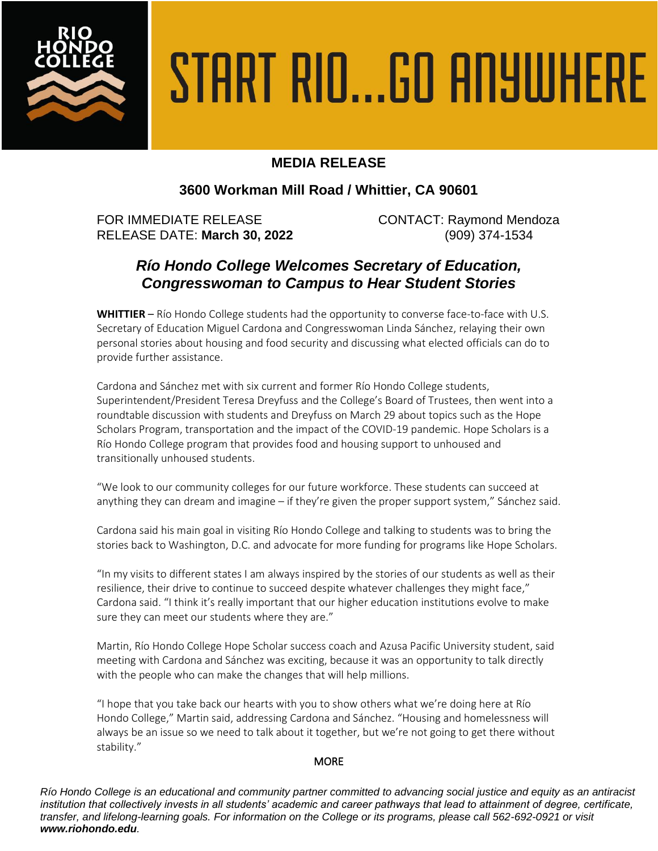

# START RIO...GO ANYWHERE

## **MEDIA RELEASE**

## **3600 Workman Mill Road / Whittier, CA 90601**

FOR IMMEDIATE RELEASE CONTACT: Raymond Mendoza RELEASE DATE: **March 30, 2022** (909) 374-1534

# *Río Hondo College Welcomes Secretary of Education, Congresswoman to Campus to Hear Student Stories*

**WHITTIER** – Río Hondo College students had the opportunity to converse face-to-face with U.S. Secretary of Education Miguel Cardona and Congresswoman Linda Sánchez, relaying their own personal stories about housing and food security and discussing what elected officials can do to provide further assistance.

Cardona and Sánchez met with six current and former Río Hondo College students, Superintendent/President Teresa Dreyfuss and the College's Board of Trustees, then went into a roundtable discussion with students and Dreyfuss on March 29 about topics such as the Hope Scholars Program, transportation and the impact of the COVID-19 pandemic. Hope Scholars is a Río Hondo College program that provides food and housing support to unhoused and transitionally unhoused students.

"We look to our community colleges for our future workforce. These students can succeed at anything they can dream and imagine – if they're given the proper support system," Sánchez said.

Cardona said his main goal in visiting Río Hondo College and talking to students was to bring the stories back to Washington, D.C. and advocate for more funding for programs like Hope Scholars.

"In my visits to different states I am always inspired by the stories of our students as well as their resilience, their drive to continue to succeed despite whatever challenges they might face," Cardona said. "I think it's really important that our higher education institutions evolve to make sure they can meet our students where they are."

Martin, Río Hondo College Hope Scholar success coach and Azusa Pacific University student, said meeting with Cardona and Sánchez was exciting, because it was an opportunity to talk directly with the people who can make the changes that will help millions.

"I hope that you take back our hearts with you to show others what we're doing here at Río Hondo College," Martin said, addressing Cardona and Sánchez. "Housing and homelessness will always be an issue so we need to talk about it together, but we're not going to get there without stability."

### **MORE**

*Río Hondo College is an educational and community partner committed to advancing social justice and equity as an antiracist institution that collectively invests in all students' academic and career pathways that lead to attainment of degree, certificate, transfer, and lifelong-learning goals. For information on the College or its programs, please call 562-692-0921 or visit www.riohondo.edu.*